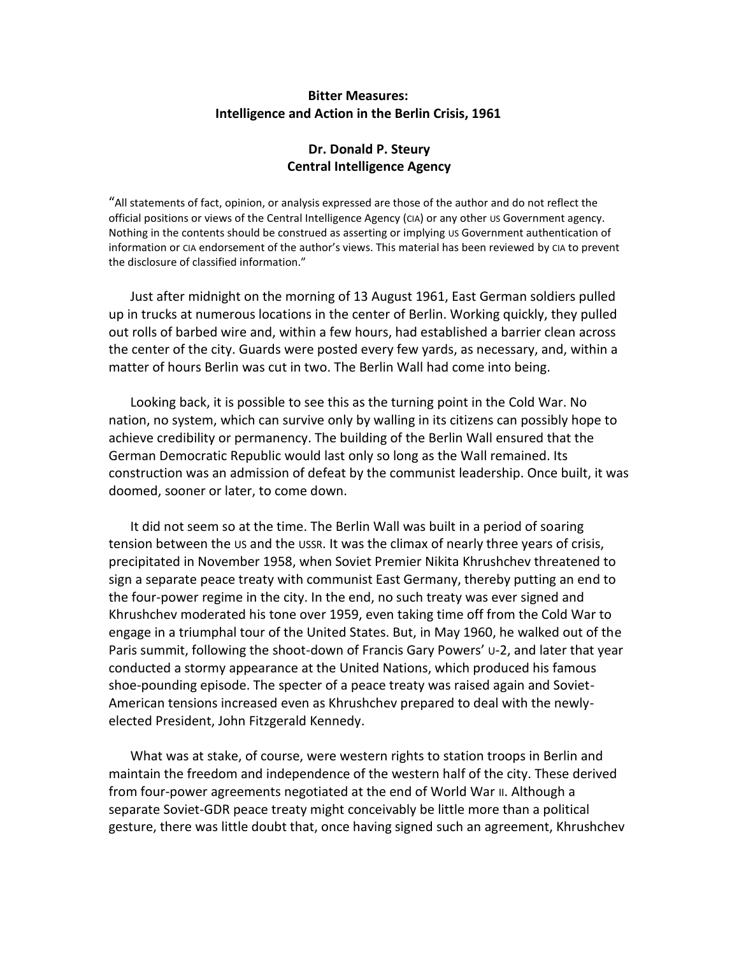## **Bitter Measures: Intelligence and Action in the Berlin Crisis, 1961**

# **Dr. Donald P. Steury Central Intelligence Agency**

"All statements of fact, opinion, or analysis expressed are those of the author and do not reflect the official positions or views of the Central Intelligence Agency (CIA) or any other US Government agency. Nothing in the contents should be construed as asserting or implying us Government authentication of information or CIA endorsement of the author's views. This material has been reviewed by CIA to prevent the disclosure of classified information."

Just after midnight on the morning of 13 August 1961, East German soldiers pulled up in trucks at numerous locations in the center of Berlin. Working quickly, they pulled out rolls of barbed wire and, within a few hours, had established a barrier clean across the center of the city. Guards were posted every few yards, as necessary, and, within a matter of hours Berlin was cut in two. The Berlin Wall had come into being.

Looking back, it is possible to see this as the turning point in the Cold War. No nation, no system, which can survive only by walling in its citizens can possibly hope to achieve credibility or permanency. The building of the Berlin Wall ensured that the German Democratic Republic would last only so long as the Wall remained. Its construction was an admission of defeat by the communist leadership. Once built, it was doomed, sooner or later, to come down.

It did not seem so at the time. The Berlin Wall was built in a period of soaring tension between the US and the USSR. It was the climax of nearly three years of crisis, precipitated in November 1958, when Soviet Premier Nikita Khrushchev threatened to sign a separate peace treaty with communist East Germany, thereby putting an end to the four-power regime in the city. In the end, no such treaty was ever signed and Khrushchev moderated his tone over 1959, even taking time off from the Cold War to engage in a triumphal tour of the United States. But, in May 1960, he walked out of the Paris summit, following the shoot-down of Francis Gary Powers' U-2, and later that year conducted a stormy appearance at the United Nations, which produced his famous shoe-pounding episode. The specter of a peace treaty was raised again and Soviet-American tensions increased even as Khrushchev prepared to deal with the newlyelected President, John Fitzgerald Kennedy.

What was at stake, of course, were western rights to station troops in Berlin and maintain the freedom and independence of the western half of the city. These derived from four-power agreements negotiated at the end of World War II. Although a separate Soviet-GDR peace treaty might conceivably be little more than a political gesture, there was little doubt that, once having signed such an agreement, Khrushchev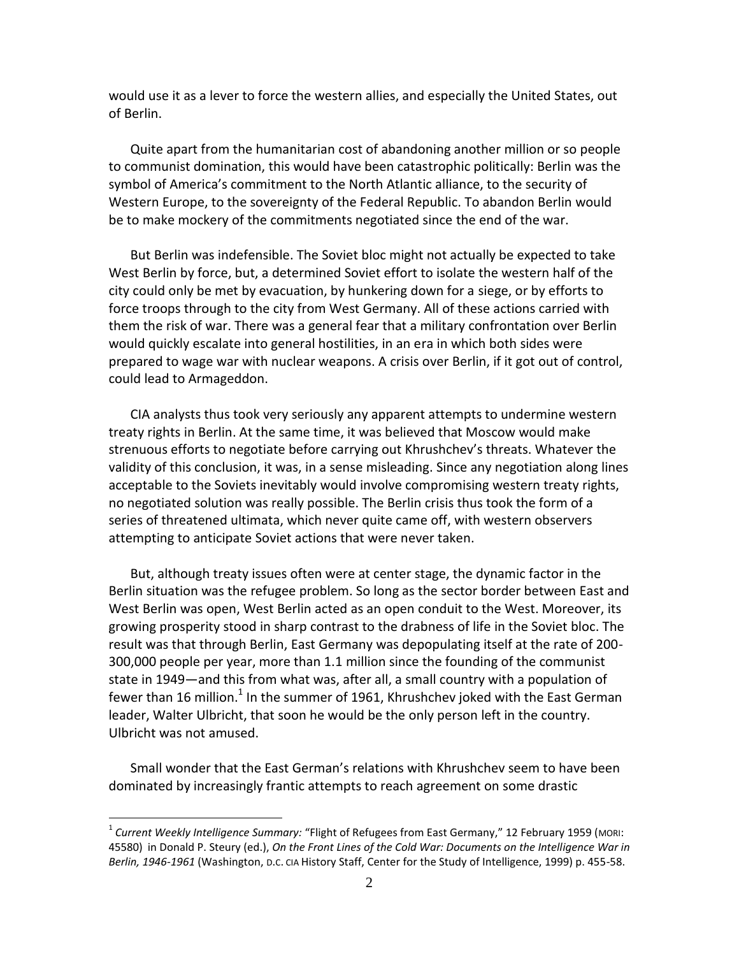would use it as a lever to force the western allies, and especially the United States, out of Berlin.

Quite apart from the humanitarian cost of abandoning another million or so people to communist domination, this would have been catastrophic politically: Berlin was the symbol of America's commitment to the North Atlantic alliance, to the security of Western Europe, to the sovereignty of the Federal Republic. To abandon Berlin would be to make mockery of the commitments negotiated since the end of the war.

But Berlin was indefensible. The Soviet bloc might not actually be expected to take West Berlin by force, but, a determined Soviet effort to isolate the western half of the city could only be met by evacuation, by hunkering down for a siege, or by efforts to force troops through to the city from West Germany. All of these actions carried with them the risk of war. There was a general fear that a military confrontation over Berlin would quickly escalate into general hostilities, in an era in which both sides were prepared to wage war with nuclear weapons. A crisis over Berlin, if it got out of control, could lead to Armageddon.

CIA analysts thus took very seriously any apparent attempts to undermine western treaty rights in Berlin. At the same time, it was believed that Moscow would make strenuous efforts to negotiate before carrying out Khrushchev's threats. Whatever the validity of this conclusion, it was, in a sense misleading. Since any negotiation along lines acceptable to the Soviets inevitably would involve compromising western treaty rights, no negotiated solution was really possible. The Berlin crisis thus took the form of a series of threatened ultimata, which never quite came off, with western observers attempting to anticipate Soviet actions that were never taken.

But, although treaty issues often were at center stage, the dynamic factor in the Berlin situation was the refugee problem. So long as the sector border between East and West Berlin was open, West Berlin acted as an open conduit to the West. Moreover, its growing prosperity stood in sharp contrast to the drabness of life in the Soviet bloc. The result was that through Berlin, East Germany was depopulating itself at the rate of 200- 300,000 people per year, more than 1.1 million since the founding of the communist state in 1949—and this from what was, after all, a small country with a population of fewer than 16 million.<sup>1</sup> In the summer of 1961, Khrushchev joked with the East German leader, Walter Ulbricht, that soon he would be the only person left in the country. Ulbricht was not amused.

Small wonder that the East German's relations with Khrushchev seem to have been dominated by increasingly frantic attempts to reach agreement on some drastic

<sup>1</sup> *Current Weekly Intelligence Summary:* "Flight of Refugees from East Germany," 12 February 1959 (MORI: 45580) in Donald P. Steury (ed.), *On the Front Lines of the Cold War: Documents on the Intelligence War in Berlin, 1946-1961* (Washington, D.C. CIA History Staff, Center for the Study of Intelligence, 1999) p. 455-58.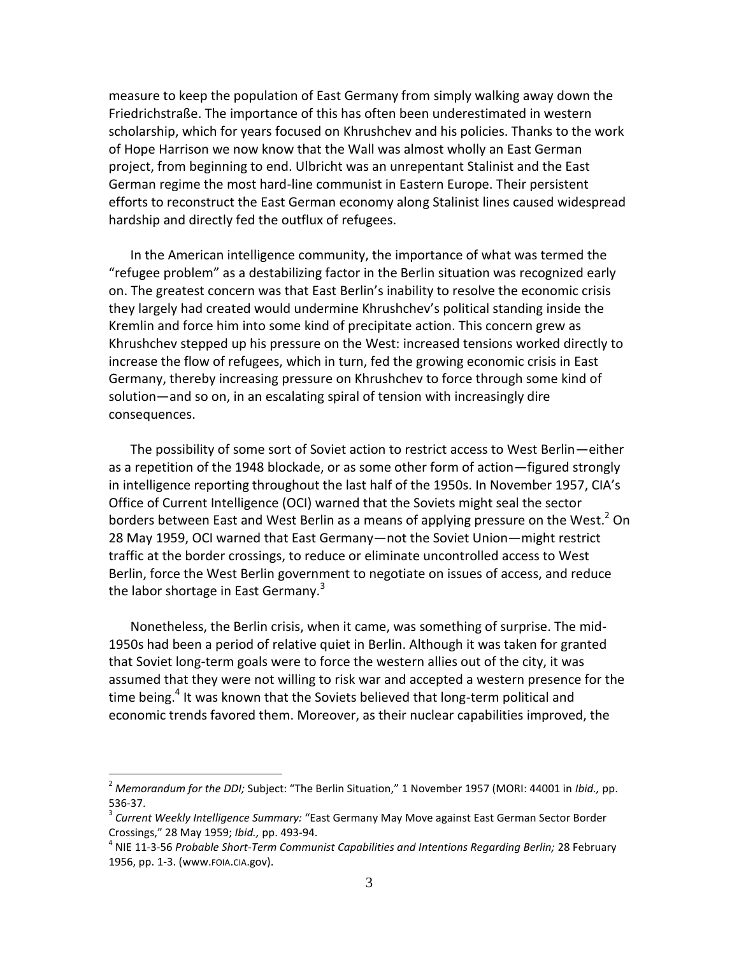measure to keep the population of East Germany from simply walking away down the Friedrichstraße. The importance of this has often been underestimated in western scholarship, which for years focused on Khrushchev and his policies. Thanks to the work of Hope Harrison we now know that the Wall was almost wholly an East German project, from beginning to end. Ulbricht was an unrepentant Stalinist and the East German regime the most hard-line communist in Eastern Europe. Their persistent efforts to reconstruct the East German economy along Stalinist lines caused widespread hardship and directly fed the outflux of refugees.

In the American intelligence community, the importance of what was termed the "refugee problem" as a destabilizing factor in the Berlin situation was recognized early on. The greatest concern was that East Berlin's inability to resolve the economic crisis they largely had created would undermine Khrushchev's political standing inside the Kremlin and force him into some kind of precipitate action. This concern grew as Khrushchev stepped up his pressure on the West: increased tensions worked directly to increase the flow of refugees, which in turn, fed the growing economic crisis in East Germany, thereby increasing pressure on Khrushchev to force through some kind of solution—and so on, in an escalating spiral of tension with increasingly dire consequences.

The possibility of some sort of Soviet action to restrict access to West Berlin—either as a repetition of the 1948 blockade, or as some other form of action—figured strongly in intelligence reporting throughout the last half of the 1950s. In November 1957, CIA's Office of Current Intelligence (OCI) warned that the Soviets might seal the sector borders between East and West Berlin as a means of applying pressure on the West.<sup>2</sup> On 28 May 1959, OCI warned that East Germany—not the Soviet Union—might restrict traffic at the border crossings, to reduce or eliminate uncontrolled access to West Berlin, force the West Berlin government to negotiate on issues of access, and reduce the labor shortage in East Germany. $3$ 

Nonetheless, the Berlin crisis, when it came, was something of surprise. The mid-1950s had been a period of relative quiet in Berlin. Although it was taken for granted that Soviet long-term goals were to force the western allies out of the city, it was assumed that they were not willing to risk war and accepted a western presence for the time being.<sup>4</sup> It was known that the Soviets believed that long-term political and economic trends favored them. Moreover, as their nuclear capabilities improved, the

<sup>2</sup> *Memorandum for the DDI;* Subject: "The Berlin Situation," 1 November 1957 (MORI: 44001 in *Ibid.,* pp. 536-37.

<sup>3</sup> *Current Weekly Intelligence Summary:* "East Germany May Move against East German Sector Border Crossings," 28 May 1959; *Ibid.,* pp. 493-94.

<sup>4</sup> NIE 11-3-56 *Probable Short-Term Communist Capabilities and Intentions Regarding Berlin;* 28 February 1956, pp. 1-3. (www.FOIA.CIA.gov).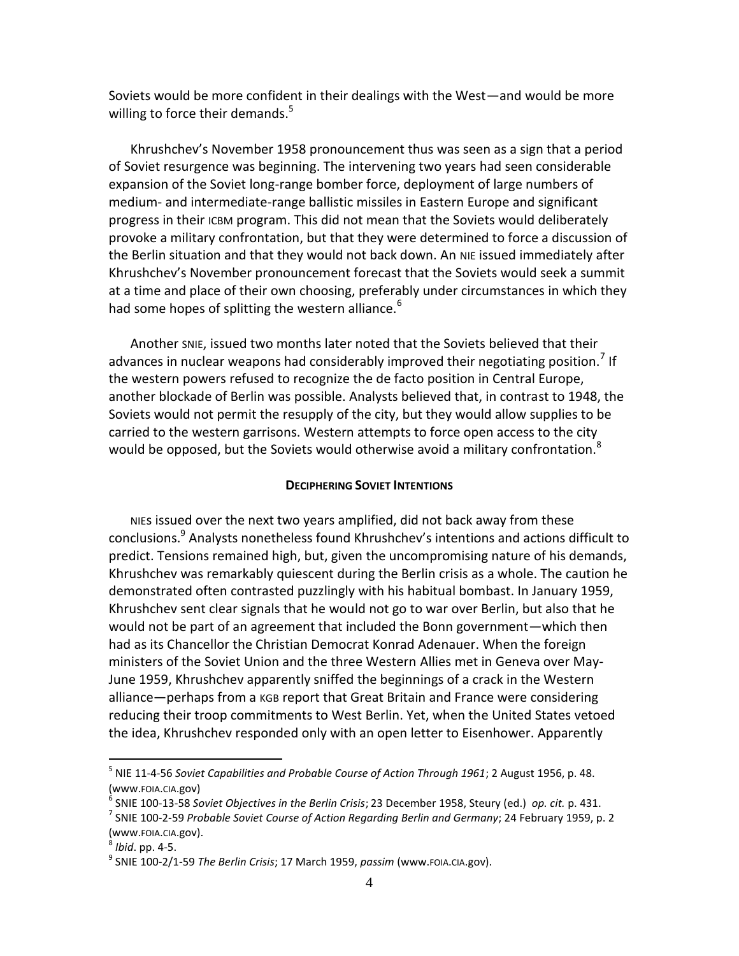Soviets would be more confident in their dealings with the West—and would be more willing to force their demands.<sup>5</sup>

Khrushchev's November 1958 pronouncement thus was seen as a sign that a period of Soviet resurgence was beginning. The intervening two years had seen considerable expansion of the Soviet long-range bomber force, deployment of large numbers of medium- and intermediate-range ballistic missiles in Eastern Europe and significant progress in their ICBM program. This did not mean that the Soviets would deliberately provoke a military confrontation, but that they were determined to force a discussion of the Berlin situation and that they would not back down. An NIE issued immediately after Khrushchev's November pronouncement forecast that the Soviets would seek a summit at a time and place of their own choosing, preferably under circumstances in which they had some hopes of splitting the western alliance.<sup>6</sup>

Another SNIE, issued two months later noted that the Soviets believed that their advances in nuclear weapons had considerably improved their negotiating position.<sup>7</sup> If the western powers refused to recognize the de facto position in Central Europe, another blockade of Berlin was possible. Analysts believed that, in contrast to 1948, the Soviets would not permit the resupply of the city, but they would allow supplies to be carried to the western garrisons. Western attempts to force open access to the city would be opposed, but the Soviets would otherwise avoid a military confrontation.<sup>8</sup>

## **DECIPHERING SOVIET INTENTIONS**

NIEs issued over the next two years amplified, did not back away from these conclusions.<sup>9</sup> Analysts nonetheless found Khrushchev's intentions and actions difficult to predict. Tensions remained high, but, given the uncompromising nature of his demands, Khrushchev was remarkably quiescent during the Berlin crisis as a whole. The caution he demonstrated often contrasted puzzlingly with his habitual bombast. In January 1959, Khrushchev sent clear signals that he would not go to war over Berlin, but also that he would not be part of an agreement that included the Bonn government—which then had as its Chancellor the Christian Democrat Konrad Adenauer. When the foreign ministers of the Soviet Union and the three Western Allies met in Geneva over May-June 1959, Khrushchev apparently sniffed the beginnings of a crack in the Western alliance—perhaps from a KGB report that Great Britain and France were considering reducing their troop commitments to West Berlin. Yet, when the United States vetoed the idea, Khrushchev responded only with an open letter to Eisenhower. Apparently

<sup>5</sup> NIE 11-4-56 *Soviet Capabilities and Probable Course of Action Through 1961*; 2 August 1956, p. 48. (www.FOIA.CIA.gov)

<sup>6</sup> SNIE 100-13-58 *Soviet Objectives in the Berlin Crisis*; 23 December 1958, Steury (ed.) *op. cit.* p. 431.

<sup>7</sup> SNIE 100-2-59 *Probable Soviet Course of Action Regarding Berlin and Germany*; 24 February 1959, p. 2 (www.FOIA.CIA.gov).

<sup>8</sup> *Ibid*. pp. 4-5.

<sup>9</sup> SNIE 100-2/1-59 *The Berlin Crisis*; 17 March 1959, *passim* (www.FOIA.CIA.gov).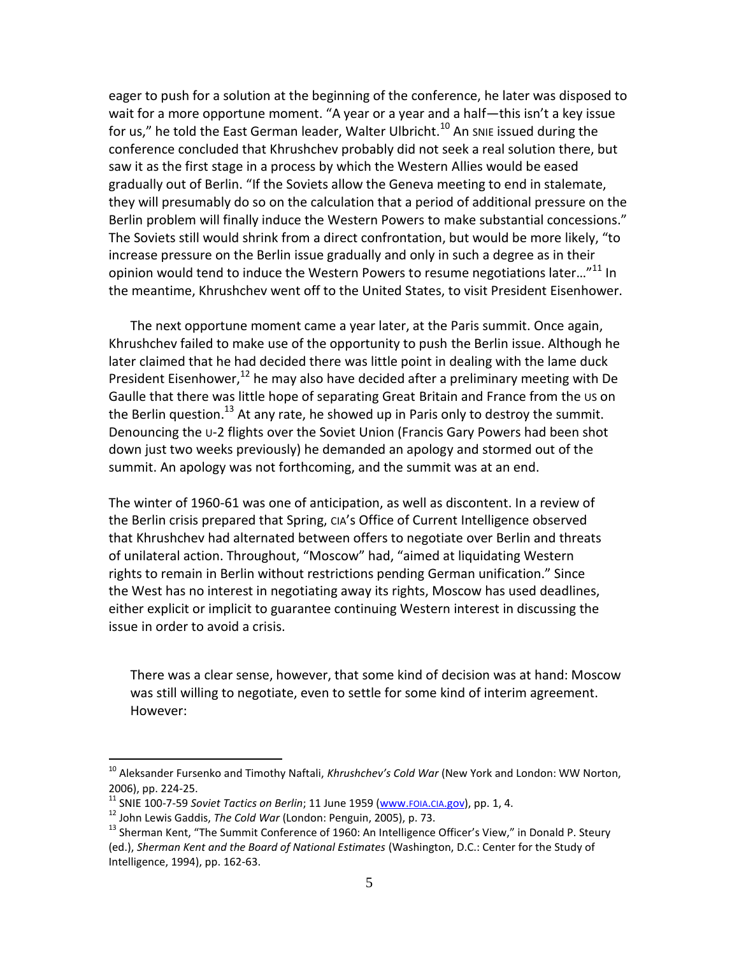eager to push for a solution at the beginning of the conference, he later was disposed to wait for a more opportune moment. "A year or a year and a half—this isn't a key issue for us," he told the East German leader, Walter Ulbricht.<sup>10</sup> An snie issued during the conference concluded that Khrushchev probably did not seek a real solution there, but saw it as the first stage in a process by which the Western Allies would be eased gradually out of Berlin. "If the Soviets allow the Geneva meeting to end in stalemate, they will presumably do so on the calculation that a period of additional pressure on the Berlin problem will finally induce the Western Powers to make substantial concessions." The Soviets still would shrink from a direct confrontation, but would be more likely, "to increase pressure on the Berlin issue gradually and only in such a degree as in their opinion would tend to induce the Western Powers to resume negotiations later..." $^{11}$  In the meantime, Khrushchev went off to the United States, to visit President Eisenhower.

The next opportune moment came a year later, at the Paris summit. Once again, Khrushchev failed to make use of the opportunity to push the Berlin issue. Although he later claimed that he had decided there was little point in dealing with the lame duck President Eisenhower,<sup>12</sup> he may also have decided after a preliminary meeting with De Gaulle that there was little hope of separating Great Britain and France from the US on the Berlin question.<sup>13</sup> At any rate, he showed up in Paris only to destroy the summit. Denouncing the U-2 flights over the Soviet Union (Francis Gary Powers had been shot down just two weeks previously) he demanded an apology and stormed out of the summit. An apology was not forthcoming, and the summit was at an end.

The winter of 1960-61 was one of anticipation, as well as discontent. In a review of the Berlin crisis prepared that Spring, CIA's Office of Current Intelligence observed that Khrushchev had alternated between offers to negotiate over Berlin and threats of unilateral action. Throughout, "Moscow" had, "aimed at liquidating Western rights to remain in Berlin without restrictions pending German unification." Since the West has no interest in negotiating away its rights, Moscow has used deadlines, either explicit or implicit to guarantee continuing Western interest in discussing the issue in order to avoid a crisis.

There was a clear sense, however, that some kind of decision was at hand: Moscow was still willing to negotiate, even to settle for some kind of interim agreement. However:

<sup>&</sup>lt;sup>10</sup> Aleksander Fursenko and Timothy Naftali, *Khrushchev's Cold War* (New York and London: WW Norton, 2006), pp. 224-25.

<sup>&</sup>lt;sup>11</sup> SNIE 100-7-59 *Soviet Tactics on Berlin*; 11 June 1959 [\(www.](http://www.foia.cia.gov/)fola.cla.gov), pp. 1, 4.

<sup>12</sup> John Lewis Gaddis, *The Cold War* (London: Penguin, 2005), p. 73.

<sup>&</sup>lt;sup>13</sup> Sherman Kent, "The Summit Conference of 1960: An Intelligence Officer's View," in Donald P. Steury (ed.), *Sherman Kent and the Board of National Estimates* (Washington, D.C.: Center for the Study of Intelligence, 1994), pp. 162-63.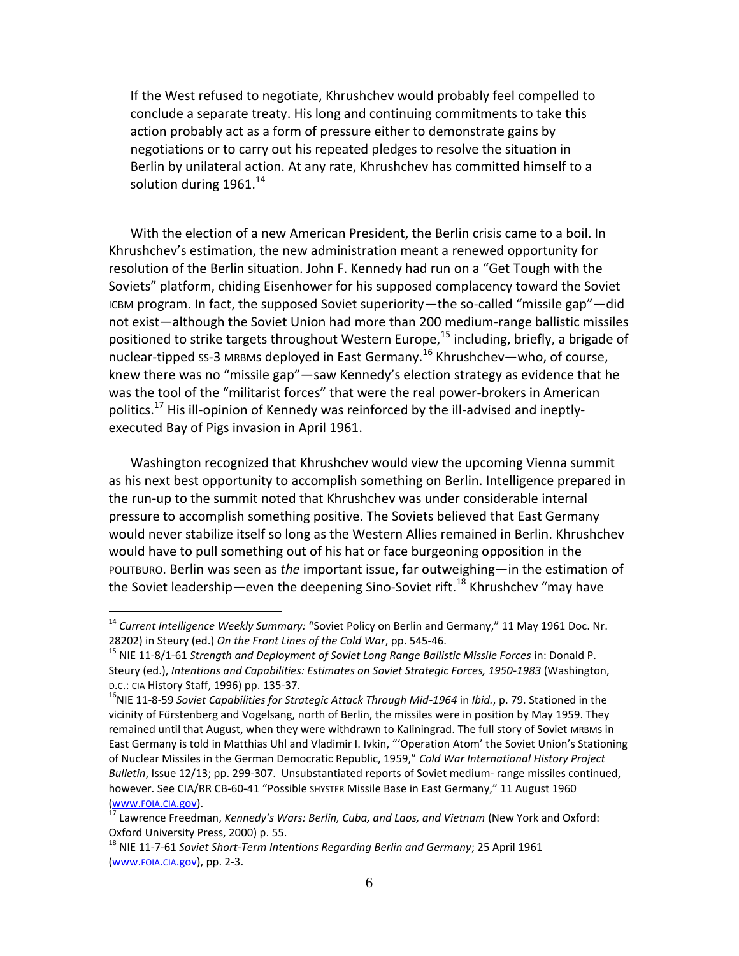If the West refused to negotiate, Khrushchev would probably feel compelled to conclude a separate treaty. His long and continuing commitments to take this action probably act as a form of pressure either to demonstrate gains by negotiations or to carry out his repeated pledges to resolve the situation in Berlin by unilateral action. At any rate, Khrushchev has committed himself to a solution during  $1961.<sup>14</sup>$ 

With the election of a new American President, the Berlin crisis came to a boil. In Khrushchev's estimation, the new administration meant a renewed opportunity for resolution of the Berlin situation. John F. Kennedy had run on a "Get Tough with the Soviets" platform, chiding Eisenhower for his supposed complacency toward the Soviet ICBM program. In fact, the supposed Soviet superiority—the so-called "missile gap"—did not exist—although the Soviet Union had more than 200 medium-range ballistic missiles positioned to strike targets throughout Western Europe,<sup>15</sup> including, briefly, a brigade of nuclear-tipped ss-3 MRBMs deployed in East Germany.<sup>16</sup> Khrushchev—who, of course, knew there was no "missile gap"—saw Kennedy's election strategy as evidence that he was the tool of the "militarist forces" that were the real power-brokers in American politics.<sup>17</sup> His ill-opinion of Kennedy was reinforced by the ill-advised and ineptlyexecuted Bay of Pigs invasion in April 1961.

Washington recognized that Khrushchev would view the upcoming Vienna summit as his next best opportunity to accomplish something on Berlin. Intelligence prepared in the run-up to the summit noted that Khrushchev was under considerable internal pressure to accomplish something positive. The Soviets believed that East Germany would never stabilize itself so long as the Western Allies remained in Berlin. Khrushchev would have to pull something out of his hat or face burgeoning opposition in the POLITBURO. Berlin was seen as *the* important issue, far outweighing—in the estimation of the Soviet leadership—even the deepening Sino-Soviet rift.<sup>18</sup> Khrushchev "may have

<sup>14</sup> *Current Intelligence Weekly Summary:* "Soviet Policy on Berlin and Germany," 11 May 1961 Doc. Nr. 28202) in Steury (ed.) *On the Front Lines of the Cold War*, pp. 545-46.

<sup>15</sup> NIE 11-8/1-61 *Strength and Deployment of Soviet Long Range Ballistic Missile Forces* in: Donald P. Steury (ed.), *Intentions and Capabilities: Estimates on Soviet Strategic Forces, 1950-1983* (Washington, D.C.: CIA History Staff, 1996) pp. 135-37.

<sup>&</sup>lt;sup>16</sup>NIE 11-8-59 *Soviet Capabilities for Strategic Attack Through Mid-1964* in *Ibid.*, p. 79. Stationed in the vicinity of Fürstenberg and Vogelsang, north of Berlin, the missiles were in position by May 1959. They remained until that August, when they were withdrawn to Kaliningrad. The full story of Soviet MRBMs in East Germany is told in Matthias Uhl and Vladimir I. Ivkin, "'Operation Atom' the Soviet Union's Stationing of Nuclear Missiles in the German Democratic Republic, 1959," *Cold War International History Project Bulletin*, Issue 12/13; pp. 299-307. Unsubstantiated reports of Soviet medium- range missiles continued, however. See CIA/RR CB-60-41 "Possible SHYSTER Missile Base in East Germany," 11 August 1960 [\(www.](http://www.foia.cia.gov/)FOIA.CIA.gov).

<sup>17</sup> Lawrence Freedman, *Kennedy's Wars: Berlin, Cuba, and Laos, and Vietnam* (New York and Oxford: Oxford University Press, 2000) p. 55.

<sup>18</sup> NIE 11-7-61 *Soviet Short-Term Intentions Regarding Berlin and Germany*; 25 April 1961 [\(www.](http://www.foia.cia.gov/)FOIA.CIA.gov), pp. 2-3.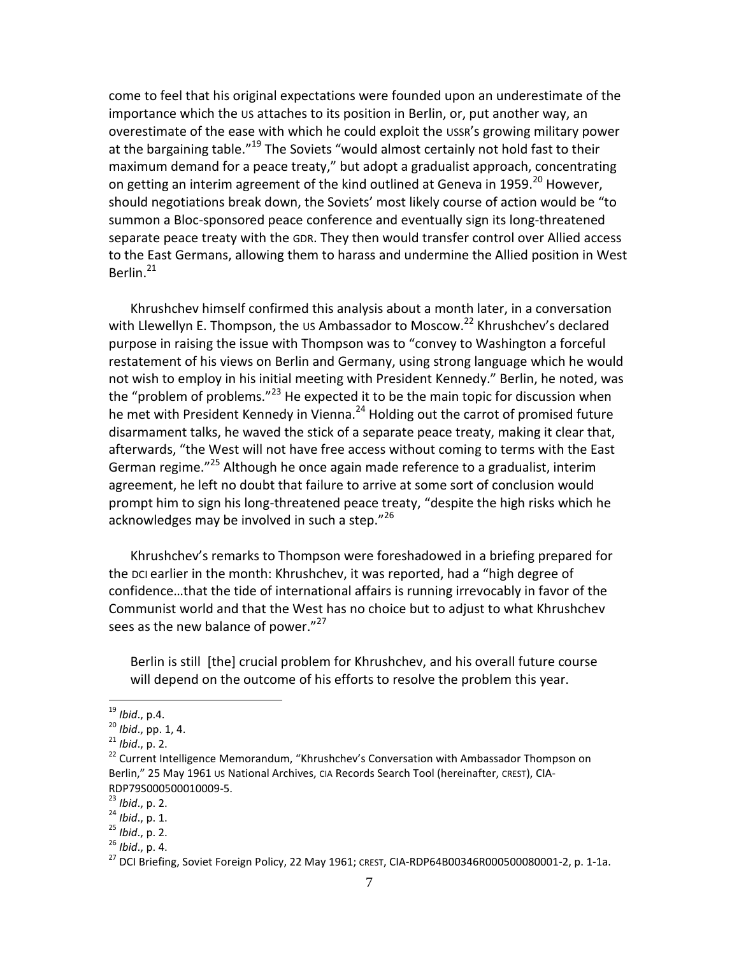come to feel that his original expectations were founded upon an underestimate of the importance which the US attaches to its position in Berlin, or, put another way, an overestimate of the ease with which he could exploit the USSR's growing military power at the bargaining table."<sup>19</sup> The Soviets "would almost certainly not hold fast to their maximum demand for a peace treaty," but adopt a gradualist approach, concentrating on getting an interim agreement of the kind outlined at Geneva in 1959.<sup>20</sup> However, should negotiations break down, the Soviets' most likely course of action would be "to summon a Bloc-sponsored peace conference and eventually sign its long-threatened separate peace treaty with the GDR. They then would transfer control over Allied access to the East Germans, allowing them to harass and undermine the Allied position in West Berlin. $^{21}$ 

Khrushchev himself confirmed this analysis about a month later, in a conversation with Llewellyn E. Thompson, the US Ambassador to Moscow.<sup>22</sup> Khrushchev's declared purpose in raising the issue with Thompson was to "convey to Washington a forceful restatement of his views on Berlin and Germany, using strong language which he would not wish to employ in his initial meeting with President Kennedy." Berlin, he noted, was the "problem of problems."<sup>23</sup> He expected it to be the main topic for discussion when he met with President Kennedy in Vienna.<sup>24</sup> Holding out the carrot of promised future disarmament talks, he waved the stick of a separate peace treaty, making it clear that, afterwards, "the West will not have free access without coming to terms with the East German regime."<sup>25</sup> Although he once again made reference to a gradualist, interim agreement, he left no doubt that failure to arrive at some sort of conclusion would prompt him to sign his long-threatened peace treaty, "despite the high risks which he acknowledges may be involved in such a step."26

Khrushchev's remarks to Thompson were foreshadowed in a briefing prepared for the DCI earlier in the month: Khrushchev, it was reported, had a "high degree of confidence…that the tide of international affairs is running irrevocably in favor of the Communist world and that the West has no choice but to adjust to what Khrushchev sees as the new balance of power."<sup>27</sup>

Berlin is still [the] crucial problem for Khrushchev, and his overall future course will depend on the outcome of his efforts to resolve the problem this year.

<sup>19</sup> *Ibid*., p.4.

<sup>20</sup> *Ibid*., pp. 1, 4.

<sup>21</sup> *Ibid*., p. 2.

<sup>&</sup>lt;sup>22</sup> Current Intelligence Memorandum, "Khrushchev's Conversation with Ambassador Thompson on Berlin," 25 May 1961 US National Archives, CIA Records Search Tool (hereinafter, CREST), CIA-RDP79S000500010009-5.

<sup>23</sup> *Ibid*., p. 2.

<sup>24</sup> *Ibid*., p. 1.

<sup>25</sup> *Ibid*., p. 2.

<sup>26</sup> *Ibid*., p. 4.

 $^{27}$  DCI Briefing, Soviet Foreign Policy, 22 May 1961; CREST, CIA-RDP64B00346R000500080001-2, p. 1-1a.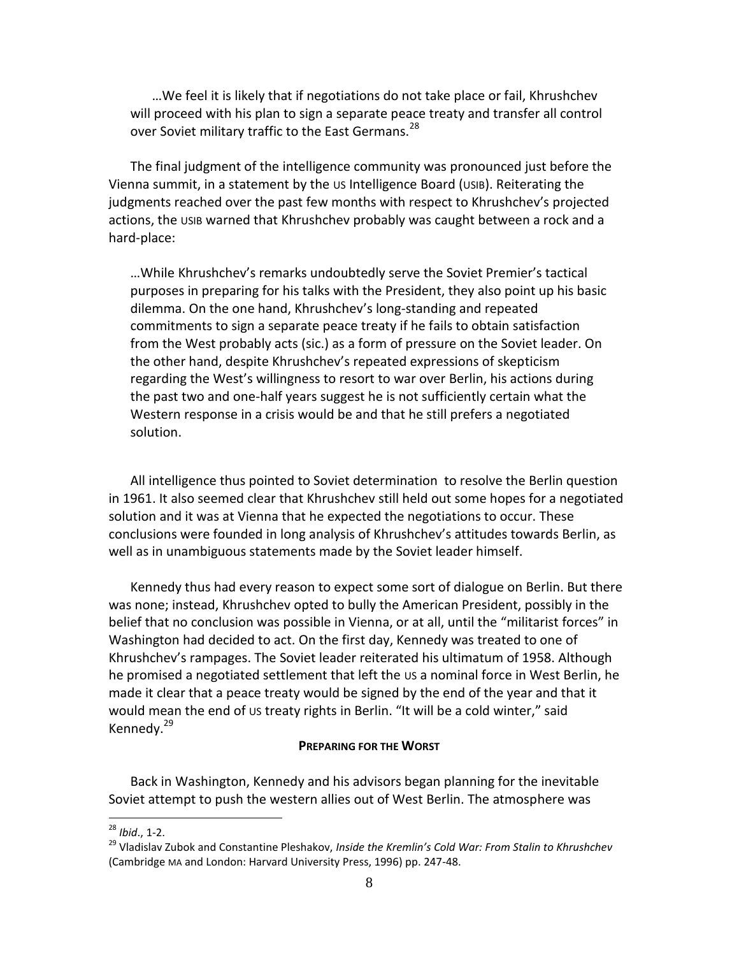…We feel it is likely that if negotiations do not take place or fail, Khrushchev will proceed with his plan to sign a separate peace treaty and transfer all control over Soviet military traffic to the East Germans.<sup>28</sup>

The final judgment of the intelligence community was pronounced just before the Vienna summit, in a statement by the US Intelligence Board (USIB). Reiterating the judgments reached over the past few months with respect to Khrushchev's projected actions, the USIB warned that Khrushchev probably was caught between a rock and a hard-place:

…While Khrushchev's remarks undoubtedly serve the Soviet Premier's tactical purposes in preparing for his talks with the President, they also point up his basic dilemma. On the one hand, Khrushchev's long-standing and repeated commitments to sign a separate peace treaty if he fails to obtain satisfaction from the West probably acts (sic.) as a form of pressure on the Soviet leader. On the other hand, despite Khrushchev's repeated expressions of skepticism regarding the West's willingness to resort to war over Berlin, his actions during the past two and one-half years suggest he is not sufficiently certain what the Western response in a crisis would be and that he still prefers a negotiated solution.

All intelligence thus pointed to Soviet determination to resolve the Berlin question in 1961. It also seemed clear that Khrushchev still held out some hopes for a negotiated solution and it was at Vienna that he expected the negotiations to occur. These conclusions were founded in long analysis of Khrushchev's attitudes towards Berlin, as well as in unambiguous statements made by the Soviet leader himself.

Kennedy thus had every reason to expect some sort of dialogue on Berlin. But there was none; instead, Khrushchev opted to bully the American President, possibly in the belief that no conclusion was possible in Vienna, or at all, until the "militarist forces" in Washington had decided to act. On the first day, Kennedy was treated to one of Khrushchev's rampages. The Soviet leader reiterated his ultimatum of 1958. Although he promised a negotiated settlement that left the US a nominal force in West Berlin, he made it clear that a peace treaty would be signed by the end of the year and that it would mean the end of us treaty rights in Berlin. "It will be a cold winter," said Kennedy.<sup>29</sup>

### **PREPARING FOR THE WORST**

Back in Washington, Kennedy and his advisors began planning for the inevitable Soviet attempt to push the western allies out of West Berlin. The atmosphere was

<sup>28</sup> *Ibid*., 1-2.

<sup>29</sup> Vladislav Zubok and Constantine Pleshakov, *Inside the Kremlin's Cold War: From Stalin to Khrushchev* (Cambridge MA and London: Harvard University Press, 1996) pp. 247-48.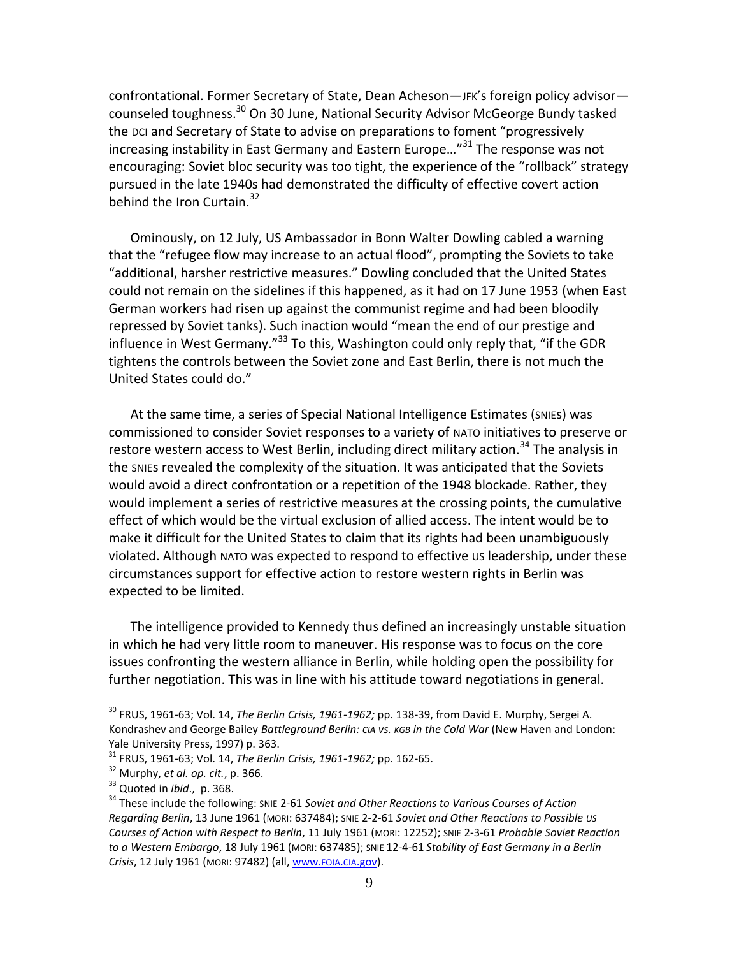confrontational. Former Secretary of State, Dean Acheson—JFK's foreign policy advisor counseled toughness.<sup>30</sup> On 30 June, National Security Advisor McGeorge Bundy tasked the DCI and Secretary of State to advise on preparations to foment "progressively increasing instability in East Germany and Eastern Europe...<sup>"31</sup> The response was not encouraging: Soviet bloc security was too tight, the experience of the "rollback" strategy pursued in the late 1940s had demonstrated the difficulty of effective covert action behind the Iron Curtain.<sup>32</sup>

Ominously, on 12 July, US Ambassador in Bonn Walter Dowling cabled a warning that the "refugee flow may increase to an actual flood", prompting the Soviets to take "additional, harsher restrictive measures." Dowling concluded that the United States could not remain on the sidelines if this happened, as it had on 17 June 1953 (when East German workers had risen up against the communist regime and had been bloodily repressed by Soviet tanks). Such inaction would "mean the end of our prestige and influence in West Germany."<sup>33</sup> To this, Washington could only reply that, "if the GDR tightens the controls between the Soviet zone and East Berlin, there is not much the United States could do."

At the same time, a series of Special National Intelligence Estimates (SNIEs) was commissioned to consider Soviet responses to a variety of NATO initiatives to preserve or restore western access to West Berlin, including direct military action.<sup>34</sup> The analysis in the SNIEs revealed the complexity of the situation. It was anticipated that the Soviets would avoid a direct confrontation or a repetition of the 1948 blockade. Rather, they would implement a series of restrictive measures at the crossing points, the cumulative effect of which would be the virtual exclusion of allied access. The intent would be to make it difficult for the United States to claim that its rights had been unambiguously violated. Although NATO was expected to respond to effective us leadership, under these circumstances support for effective action to restore western rights in Berlin was expected to be limited.

The intelligence provided to Kennedy thus defined an increasingly unstable situation in which he had very little room to maneuver. His response was to focus on the core issues confronting the western alliance in Berlin, while holding open the possibility for further negotiation. This was in line with his attitude toward negotiations in general.

<sup>30</sup> FRUS, 1961-63; Vol. 14, *The Berlin Crisis, 1961-1962;* pp. 138-39, from David E. Murphy, Sergei A. Kondrashev and George Bailey *Battleground Berlin: CIA vs. KGB in the Cold War* (New Haven and London: Yale University Press, 1997) p. 363.

<sup>31</sup> FRUS, 1961-63; Vol. 14, *The Berlin Crisis, 1961-1962;* pp. 162-65.

<sup>32</sup> Murphy, *et al. op. cit.*, p. 366.

<sup>33</sup> Quoted in *ibid*., p. 368.

<sup>34</sup> These include the following: SNIE 2-61 *Soviet and Other Reactions to Various Courses of Action Regarding Berlin*, 13 June 1961 (MORI: 637484); SNIE 2-2-61 *Soviet and Other Reactions to Possible US Courses of Action with Respect to Berlin*, 11 July 1961 (MORI: 12252); SNIE 2-3-61 *Probable Soviet Reaction to a Western Embargo*, 18 July 1961 (MORI: 637485); SNIE 12-4-61 *Stability of East Germany in a Berlin Crisis*, 12 July 1961 (MORI: 97482) (all[, www.](http://www.foia.cia.gov/)FOIA.CIA.gov).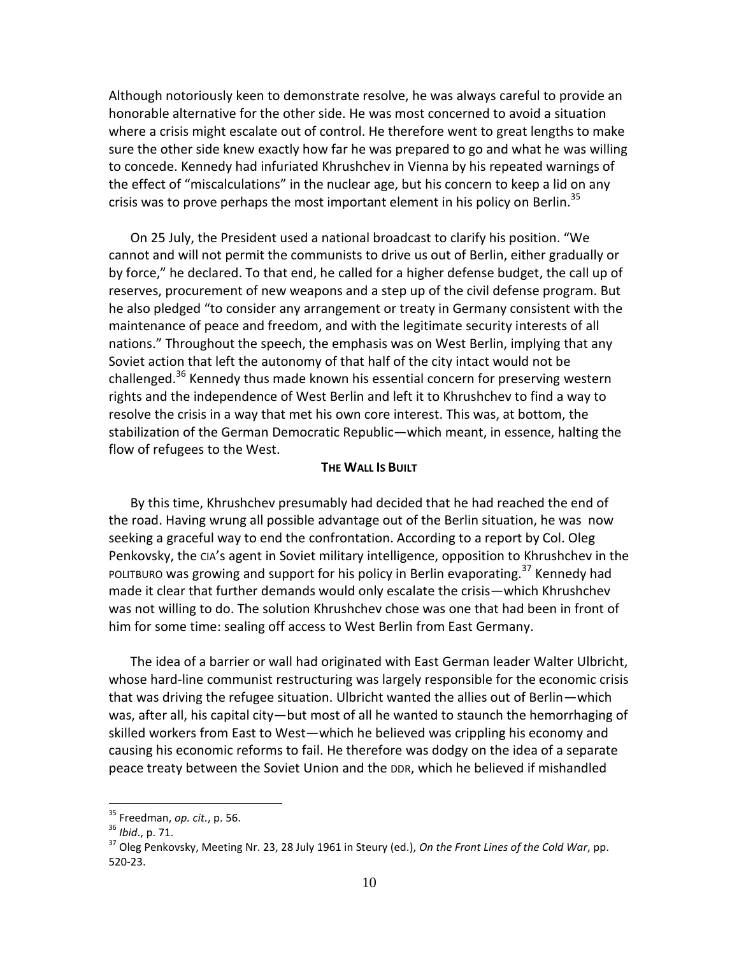Although notoriously keen to demonstrate resolve, he was always careful to provide an honorable alternative for the other side. He was most concerned to avoid a situation where a crisis might escalate out of control. He therefore went to great lengths to make sure the other side knew exactly how far he was prepared to go and what he was willing to concede. Kennedy had infuriated Khrushchev in Vienna by his repeated warnings of the effect of "miscalculations" in the nuclear age, but his concern to keep a lid on any crisis was to prove perhaps the most important element in his policy on Berlin. $^{35}$ 

On 25 July, the President used a national broadcast to clarify his position. "We cannot and will not permit the communists to drive us out of Berlin, either gradually or by force," he declared. To that end, he called for a higher defense budget, the call up of reserves, procurement of new weapons and a step up of the civil defense program. But he also pledged "to consider any arrangement or treaty in Germany consistent with the maintenance of peace and freedom, and with the legitimate security interests of all nations." Throughout the speech, the emphasis was on West Berlin, implying that any Soviet action that left the autonomy of that half of the city intact would not be challenged.<sup>36</sup> Kennedy thus made known his essential concern for preserving western rights and the independence of West Berlin and left it to Khrushchev to find a way to resolve the crisis in a way that met his own core interest. This was, at bottom, the stabilization of the German Democratic Republic—which meant, in essence, halting the flow of refugees to the West.

#### **THE WALL IS BUILT**

By this time, Khrushchev presumably had decided that he had reached the end of the road. Having wrung all possible advantage out of the Berlin situation, he was now seeking a graceful way to end the confrontation. According to a report by Col. Oleg Penkovsky, the CIA's agent in Soviet military intelligence, opposition to Khrushchev in the POLITBURO was growing and support for his policy in Berlin evaporating.<sup>37</sup> Kennedy had made it clear that further demands would only escalate the crisis—which Khrushchev was not willing to do. The solution Khrushchev chose was one that had been in front of him for some time: sealing off access to West Berlin from East Germany.

The idea of a barrier or wall had originated with East German leader Walter Ulbricht, whose hard-line communist restructuring was largely responsible for the economic crisis that was driving the refugee situation. Ulbricht wanted the allies out of Berlin—which was, after all, his capital city—but most of all he wanted to staunch the hemorrhaging of skilled workers from East to West—which he believed was crippling his economy and causing his economic reforms to fail. He therefore was dodgy on the idea of a separate peace treaty between the Soviet Union and the DDR, which he believed if mishandled

<sup>35</sup> Freedman, *op. cit.*, p. 56.

<sup>36</sup> *Ibid*., p. 71.

<sup>37</sup> Oleg Penkovsky, Meeting Nr. 23, 28 July 1961 in Steury (ed.), *On the Front Lines of the Cold War*, pp. 520-23.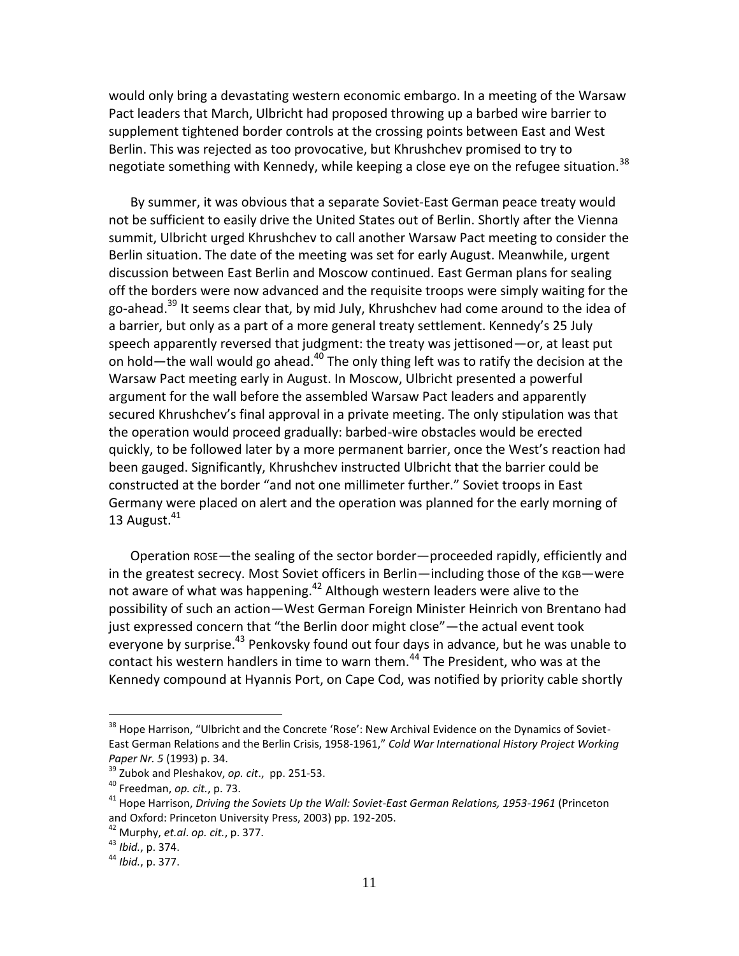would only bring a devastating western economic embargo. In a meeting of the Warsaw Pact leaders that March, Ulbricht had proposed throwing up a barbed wire barrier to supplement tightened border controls at the crossing points between East and West Berlin. This was rejected as too provocative, but Khrushchev promised to try to negotiate something with Kennedy, while keeping a close eye on the refugee situation.<sup>38</sup>

By summer, it was obvious that a separate Soviet-East German peace treaty would not be sufficient to easily drive the United States out of Berlin. Shortly after the Vienna summit, Ulbricht urged Khrushchev to call another Warsaw Pact meeting to consider the Berlin situation. The date of the meeting was set for early August. Meanwhile, urgent discussion between East Berlin and Moscow continued. East German plans for sealing off the borders were now advanced and the requisite troops were simply waiting for the go-ahead.<sup>39</sup> It seems clear that, by mid July, Khrushchev had come around to the idea of a barrier, but only as a part of a more general treaty settlement. Kennedy's 25 July speech apparently reversed that judgment: the treaty was jettisoned—or, at least put on hold—the wall would go ahead. $40$  The only thing left was to ratify the decision at the Warsaw Pact meeting early in August. In Moscow, Ulbricht presented a powerful argument for the wall before the assembled Warsaw Pact leaders and apparently secured Khrushchev's final approval in a private meeting. The only stipulation was that the operation would proceed gradually: barbed-wire obstacles would be erected quickly, to be followed later by a more permanent barrier, once the West's reaction had been gauged. Significantly, Khrushchev instructed Ulbricht that the barrier could be constructed at the border "and not one millimeter further." Soviet troops in East Germany were placed on alert and the operation was planned for the early morning of 13 August. $41$ 

Operation ROSE—the sealing of the sector border—proceeded rapidly, efficiently and in the greatest secrecy. Most Soviet officers in Berlin—including those of the KGB—were not aware of what was happening.<sup>42</sup> Although western leaders were alive to the possibility of such an action—West German Foreign Minister Heinrich von Brentano had just expressed concern that "the Berlin door might close"—the actual event took everyone by surprise.<sup>43</sup> Penkovsky found out four days in advance, but he was unable to contact his western handlers in time to warn them.<sup>44</sup> The President, who was at the Kennedy compound at Hyannis Port, on Cape Cod, was notified by priority cable shortly

<sup>&</sup>lt;sup>38</sup> Hope Harrison, "Ulbricht and the Concrete 'Rose': New Archival Evidence on the Dynamics of Soviet-East German Relations and the Berlin Crisis, 1958-1961," *Cold War International History Project Working Paper Nr. 5* (1993) p. 34.

<sup>39</sup> Zubok and Pleshakov, *op. cit*., pp. 251-53.

<sup>40</sup> Freedman, *op. cit.*, p. 73.

<sup>41</sup> Hope Harrison, *Driving the Soviets Up the Wall: Soviet-East German Relations, 1953-1961* (Princeton and Oxford: Princeton University Press, 2003) pp. 192-205.

<sup>42</sup> Murphy, *et.al*. *op. cit.*, p. 377.

<sup>43</sup> *Ibid.*, p. 374.

<sup>44</sup> *Ibid.*, p. 377.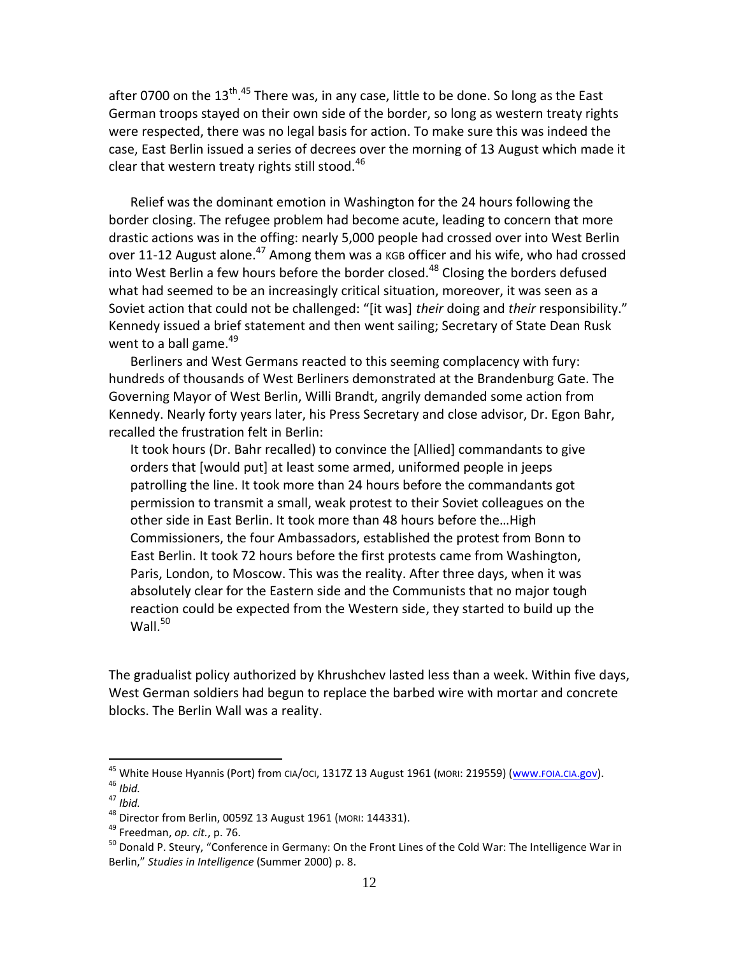after 0700 on the 13<sup>th</sup>.<sup>45</sup> There was, in any case, little to be done. So long as the East German troops stayed on their own side of the border, so long as western treaty rights were respected, there was no legal basis for action. To make sure this was indeed the case, East Berlin issued a series of decrees over the morning of 13 August which made it clear that western treaty rights still stood.<sup>46</sup>

Relief was the dominant emotion in Washington for the 24 hours following the border closing. The refugee problem had become acute, leading to concern that more drastic actions was in the offing: nearly 5,000 people had crossed over into West Berlin over 11-12 August alone.<sup>47</sup> Among them was a kGB officer and his wife, who had crossed into West Berlin a few hours before the border closed.<sup>48</sup> Closing the borders defused what had seemed to be an increasingly critical situation, moreover, it was seen as a Soviet action that could not be challenged: "[it was] *their* doing and *their* responsibility." Kennedy issued a brief statement and then went sailing; Secretary of State Dean Rusk went to a ball game. $49$ 

Berliners and West Germans reacted to this seeming complacency with fury: hundreds of thousands of West Berliners demonstrated at the Brandenburg Gate. The Governing Mayor of West Berlin, Willi Brandt, angrily demanded some action from Kennedy. Nearly forty years later, his Press Secretary and close advisor, Dr. Egon Bahr, recalled the frustration felt in Berlin:

It took hours (Dr. Bahr recalled) to convince the [Allied] commandants to give orders that [would put] at least some armed, uniformed people in jeeps patrolling the line. It took more than 24 hours before the commandants got permission to transmit a small, weak protest to their Soviet colleagues on the other side in East Berlin. It took more than 48 hours before the…High Commissioners, the four Ambassadors, established the protest from Bonn to East Berlin. It took 72 hours before the first protests came from Washington, Paris, London, to Moscow. This was the reality. After three days, when it was absolutely clear for the Eastern side and the Communists that no major tough reaction could be expected from the Western side, they started to build up the Wall. $50$ 

The gradualist policy authorized by Khrushchev lasted less than a week. Within five days, West German soldiers had begun to replace the barbed wire with mortar and concrete blocks. The Berlin Wall was a reality.

<sup>&</sup>lt;sup>45</sup> White House Hyannis (Port) from CIA/OCI, 1317Z 13 August 1961 (MORI: 219559) [\(www.](http://www.foia.cia.gov/)FOIA.CIA.gov).

<sup>46</sup> *Ibid.*

<sup>47</sup> *Ibid.*

<sup>48</sup> Director from Berlin, 0059Z 13 August 1961 (MORI: 144331).

<sup>49</sup> Freedman, *op. cit.*, p. 76.

<sup>&</sup>lt;sup>50</sup> Donald P. Steury, "Conference in Germany: On the Front Lines of the Cold War: The Intelligence War in Berlin," *Studies in Intelligence* (Summer 2000) p. 8.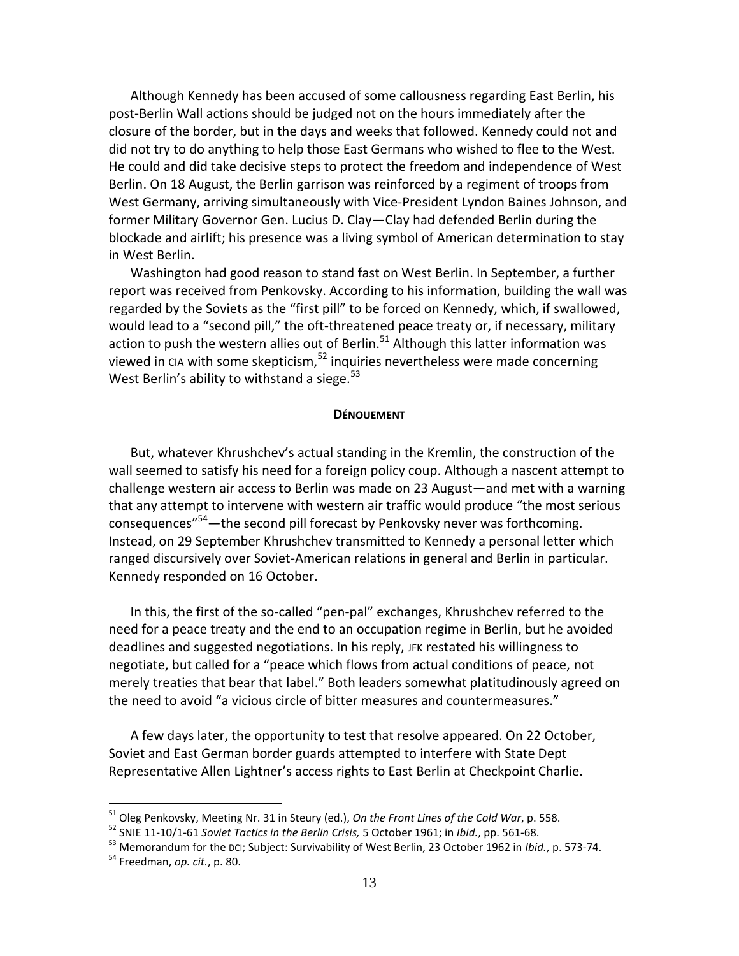Although Kennedy has been accused of some callousness regarding East Berlin, his post-Berlin Wall actions should be judged not on the hours immediately after the closure of the border, but in the days and weeks that followed. Kennedy could not and did not try to do anything to help those East Germans who wished to flee to the West. He could and did take decisive steps to protect the freedom and independence of West Berlin. On 18 August, the Berlin garrison was reinforced by a regiment of troops from West Germany, arriving simultaneously with Vice-President Lyndon Baines Johnson, and former Military Governor Gen. Lucius D. Clay—Clay had defended Berlin during the blockade and airlift; his presence was a living symbol of American determination to stay in West Berlin.

Washington had good reason to stand fast on West Berlin. In September, a further report was received from Penkovsky. According to his information, building the wall was regarded by the Soviets as the "first pill" to be forced on Kennedy, which, if swallowed, would lead to a "second pill," the oft-threatened peace treaty or, if necessary, military action to push the western allies out of Berlin. $51$  Although this latter information was viewed in  $C1A$  with some skepticism,<sup>52</sup> inquiries nevertheless were made concerning West Berlin's ability to withstand a siege. $53$ 

#### **DÉNOUEMENT**

But, whatever Khrushchev's actual standing in the Kremlin, the construction of the wall seemed to satisfy his need for a foreign policy coup. Although a nascent attempt to challenge western air access to Berlin was made on 23 August—and met with a warning that any attempt to intervene with western air traffic would produce "the most serious consequences"<sup>54</sup>—the second pill forecast by Penkovsky never was forthcoming. Instead, on 29 September Khrushchev transmitted to Kennedy a personal letter which ranged discursively over Soviet-American relations in general and Berlin in particular. Kennedy responded on 16 October.

In this, the first of the so-called "pen-pal" exchanges, Khrushchev referred to the need for a peace treaty and the end to an occupation regime in Berlin, but he avoided deadlines and suggested negotiations. In his reply, JFK restated his willingness to negotiate, but called for a "peace which flows from actual conditions of peace, not merely treaties that bear that label." Both leaders somewhat platitudinously agreed on the need to avoid "a vicious circle of bitter measures and countermeasures."

A few days later, the opportunity to test that resolve appeared. On 22 October, Soviet and East German border guards attempted to interfere with State Dept Representative Allen Lightner's access rights to East Berlin at Checkpoint Charlie.

<sup>51</sup> Oleg Penkovsky, Meeting Nr. 31 in Steury (ed.), *On the Front Lines of the Cold War*, p. 558.

<sup>52</sup> SNIE 11-10/1-61 *Soviet Tactics in the Berlin Crisis,* 5 October 1961; in *Ibid.*, pp. 561-68.

<sup>53</sup> Memorandum for the DCI; Subject: Survivability of West Berlin, 23 October 1962 in *Ibid.*, p. 573-74.

<sup>54</sup> Freedman, *op. cit.*, p. 80.